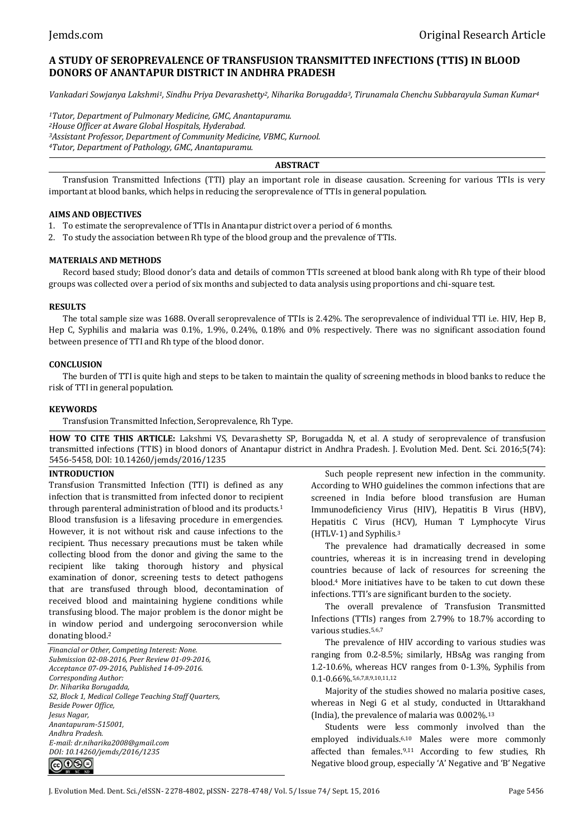# **A STUDY OF SEROPREVALENCE OF TRANSFUSION TRANSMITTED INFECTIONS (TTIS) IN BLOOD DONORS OF ANANTAPUR DISTRICT IN ANDHRA PRADESH**

*Vankadari Sowjanya Lakshmi1, Sindhu Priya Devarashetty2, Niharika Borugadda3, Tirunamala Chenchu Subbarayula Suman Kumar<sup>4</sup>*

*Tutor, Department of Pulmonary Medicine, GMC, Anantapuramu. House Officer at Aware Global Hospitals, Hyderabad. Assistant Professor, Department of Community Medicine, VBMC, Kurnool. Tutor, Department of Pathology, GMC, Anantapuramu.*

**ABSTRACT**

Transfusion Transmitted Infections (TTI) play an important role in disease causation. Screening for various TTIs is very important at blood banks, which helps in reducing the seroprevalence of TTIs in general population.

# **AIMS AND OBJECTIVES**

- 1. To estimate the seroprevalence of TTIs in Anantapur district over a period of 6 months.
- 2. To study the association between Rh type of the blood group and the prevalence of TTIs.

# **MATERIALS AND METHODS**

Record based study; Blood donor's data and details of common TTIs screened at blood bank along with Rh type of their blood groups was collected over a period of six months and subjected to data analysis using proportions and chi-square test.

### **RESULTS**

The total sample size was 1688. Overall seroprevalence of TTIs is 2.42%. The seroprevalence of individual TTI i.e. HIV, Hep B, Hep C, Syphilis and malaria was 0.1%, 1.9%, 0.24%, 0.18% and 0% respectively. There was no significant association found between presence of TTI and Rh type of the blood donor.

### **CONCLUSION**

The burden of TTI is quite high and steps to be taken to maintain the quality of screening methods in blood banks to reduce the risk of TTI in general population.

# **KEYWORDS**

Transfusion Transmitted Infection, Seroprevalence, Rh Type.

**HOW TO CITE THIS ARTICLE:** Lakshmi VS, Devarashetty SP, Borugadda N, et al. A study of seroprevalence of transfusion transmitted infections (TTIS) in blood donors of Anantapur district in Andhra Pradesh. J. Evolution Med. Dent. Sci. 2016;5(74): 5456-5458, DOI: 10.14260/jemds/2016/1235

# **INTRODUCTION**

Transfusion Transmitted Infection (TTI) is defined as any infection that is transmitted from infected donor to recipient through parenteral administration of blood and its products.<sup>1</sup> Blood transfusion is a lifesaving procedure in emergencies. However, it is not without risk and cause infections to the recipient. Thus necessary precautions must be taken while collecting blood from the donor and giving the same to the recipient like taking thorough history and physical examination of donor, screening tests to detect pathogens that are transfused through blood, decontamination of received blood and maintaining hygiene conditions while transfusing blood. The major problem is the donor might be in window period and undergoing seroconversion while donating blood.<sup>2</sup>

*Financial or Other, Competing Interest: None. Submission 02-08-2016, Peer Review 01-09-2016, Acceptance 07-09-2016, Published 14-09-2016. Corresponding Author: Dr. Niharika Borugadda, S2, Block 1, Medical College Teaching Staff Quarters, Beside Power Office, Jesus Nagar, Anantapuram-515001, Andhra Pradesh. E-mail: dr.niharika2008@gmail.com DOI: 10.14260/jemds/2016/1235* ெ⊕ை

Such people represent new infection in the community. According to WHO guidelines the common infections that are screened in India before blood transfusion are Human Immunodeficiency Virus (HIV), Hepatitis B Virus (HBV), Hepatitis C Virus (HCV), Human T Lymphocyte Virus (HTLV-1) and Syphilis.<sup>3</sup>

The prevalence had dramatically decreased in some countries, whereas it is in increasing trend in developing countries because of lack of resources for screening the blood.<sup>4</sup> More initiatives have to be taken to cut down these infections. TTI's are significant burden to the society.

The overall prevalence of Transfusion Transmitted Infections (TTIs) ranges from 2.79% to 18.7% according to various studies.5,6,7

The prevalence of HIV according to various studies was ranging from 0.2-8.5%; similarly, HBsAg was ranging from 1.2-10.6%, whereas HCV ranges from 0-1.3%, Syphilis from 0.1-0.66%.5,6,7,8,9,10,11,12

Majority of the studies showed no malaria positive cases, whereas in Negi G et al study, conducted in Uttarakhand (India), the prevalence of malaria was 0.002%.<sup>13</sup>

Students were less commonly involved than the employed individuals.6,10 Males were more commonly affected than females.9,11 According to few studies, Rh Negative blood group, especially 'A' Negative and 'B' Negative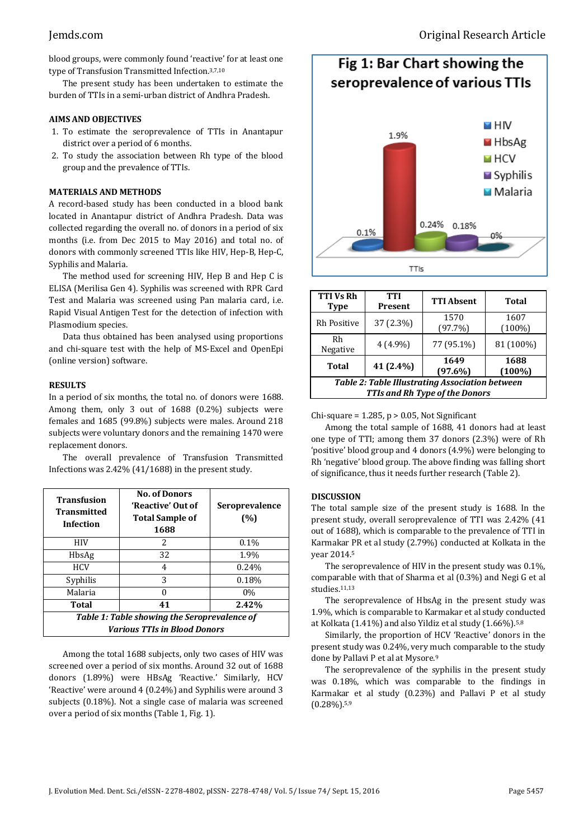blood groups, were commonly found 'reactive' for at least one type of Transfusion Transmitted Infection.3,7,10

The present study has been undertaken to estimate the burden of TTIs in a semi-urban district of Andhra Pradesh.

#### **AIMS AND OBJECTIVES**

- 1. To estimate the seroprevalence of TTIs in Anantapur district over a period of 6 months.
- 2. To study the association between Rh type of the blood group and the prevalence of TTIs.

# **MATERIALS AND METHODS**

A record-based study has been conducted in a blood bank located in Anantapur district of Andhra Pradesh. Data was collected regarding the overall no. of donors in a period of six months (i.e. from Dec 2015 to May 2016) and total no. of donors with commonly screened TTIs like HIV, Hep-B, Hep-C, Syphilis and Malaria.

The method used for screening HIV, Hep B and Hep C is ELISA (Merilisa Gen 4). Syphilis was screened with RPR Card Test and Malaria was screened using Pan malaria card, i.e. Rapid Visual Antigen Test for the detection of infection with Plasmodium species.

Data thus obtained has been analysed using proportions and chi-square test with the help of MS-Excel and OpenEpi (online version) software.

### **RESULTS**

In a period of six months, the total no. of donors were 1688. Among them, only 3 out of 1688 (0.2%) subjects were females and 1685 (99.8%) subjects were males. Around 218 subjects were voluntary donors and the remaining 1470 were replacement donors.

The overall prevalence of Transfusion Transmitted Infections was 2.42% (41/1688) in the present study.

| <b>Transfusion</b><br><b>Transmitted</b><br><b>Infection</b>                 | <b>No. of Donors</b><br>'Reactive' Out of<br><b>Total Sample of</b><br>1688 | <b>Seroprevalence</b><br>(%) |  |
|------------------------------------------------------------------------------|-----------------------------------------------------------------------------|------------------------------|--|
| HIV                                                                          | 2                                                                           | $0.1\%$                      |  |
| HbsAg                                                                        | 32                                                                          | 1.9%                         |  |
| <b>HCV</b>                                                                   | 4                                                                           | 0.24%                        |  |
| Syphilis                                                                     | 3                                                                           | 0.18%                        |  |
| Malaria                                                                      |                                                                             | 0%                           |  |
| Total                                                                        | 41                                                                          | 2.42%                        |  |
| Table 1: Table showing the Seroprevalence of<br>Various TTIs in Blood Donors |                                                                             |                              |  |

Among the total 1688 subjects, only two cases of HIV was screened over a period of six months. Around 32 out of 1688 donors (1.89%) were HBsAg 'Reactive.' Similarly, HCV 'Reactive' were around 4 (0.24%) and Syphilis were around 3 subjects (0.18%). Not a single case of malaria was screened over a period of six months (Table 1, Fig. 1).



| <b>TTI Vs Rh</b><br><b>Type</b>                                                                 | TTI<br>Present | <b>TTI Absent</b>  | <b>Total</b>      |  |
|-------------------------------------------------------------------------------------------------|----------------|--------------------|-------------------|--|
| Rh Positive                                                                                     | 37 (2.3%)      | 1570<br>(97.7%)    | 1607<br>$(100\%)$ |  |
| Rh<br>Negative                                                                                  | $4(4.9\%)$     | 77 (95.1%)         | 81 (100%)         |  |
| Total                                                                                           | 41 (2.4%)      | 1649<br>$(97.6\%)$ | 1688<br>$(100\%)$ |  |
| <b>Table 2: Table Illustrating Association between</b><br><b>TTIs and Rh Type of the Donors</b> |                |                    |                   |  |

Chi-square =  $1.285$ ,  $p > 0.05$ , Not Significant

Among the total sample of 1688, 41 donors had at least one type of TTI; among them 37 donors (2.3%) were of Rh 'positive' blood group and 4 donors (4.9%) were belonging to Rh 'negative' blood group. The above finding was falling short of significance, thus it needs further research (Table 2).

# **DISCUSSION**

The total sample size of the present study is 1688. In the present study, overall seroprevalence of TTI was 2.42% (41 out of 1688), which is comparable to the prevalence of TTI in Karmakar PR et al study (2.79%) conducted at Kolkata in the year 2014.<sup>5</sup>

The seroprevalence of HIV in the present study was 0.1%, comparable with that of Sharma et al (0.3%) and Negi G et al studies.11,13

The seroprevalence of HbsAg in the present study was 1.9%, which is comparable to Karmakar et al study conducted at Kolkata (1.41%) and also Yildiz et al study (1.66%).5,8

Similarly, the proportion of HCV 'Reactive' donors in the present study was 0.24%, very much comparable to the study done by Pallavi P et al at Mysore.<sup>9</sup>

The seroprevalence of the syphilis in the present study was 0.18%, which was comparable to the findings in Karmakar et al study (0.23%) and Pallavi P et al study  $(0.28\%)$ .<sup>5,9</sup>